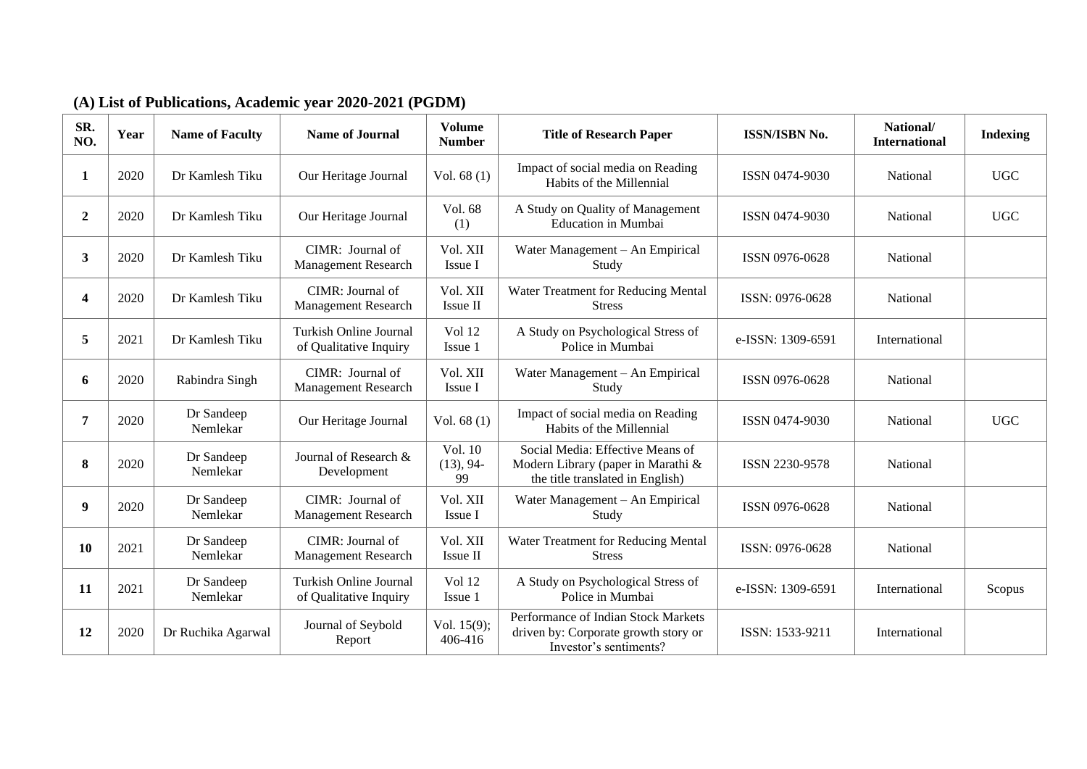### **(A) List of Publications, Academic year 2020-2021 (PGDM)**

| SR.<br>NO.     | Year | <b>Name of Faculty</b> | <b>Name of Journal</b>                           | <b>Volume</b><br><b>Number</b> | <b>Title of Research Paper</b>                                                                             | <b>ISSN/ISBN No.</b> | National/<br><b>International</b> | <b>Indexing</b> |
|----------------|------|------------------------|--------------------------------------------------|--------------------------------|------------------------------------------------------------------------------------------------------------|----------------------|-----------------------------------|-----------------|
| 1              | 2020 | Dr Kamlesh Tiku        | Our Heritage Journal                             | Vol. $68(1)$                   | Impact of social media on Reading<br>Habits of the Millennial                                              | ISSN 0474-9030       | National                          | <b>UGC</b>      |
| $\overline{2}$ | 2020 | Dr Kamlesh Tiku        | Our Heritage Journal                             | Vol. 68<br>(1)                 | A Study on Quality of Management<br>Education in Mumbai                                                    | ISSN 0474-9030       | National                          | <b>UGC</b>      |
| 3 <sup>1</sup> | 2020 | Dr Kamlesh Tiku        | CIMR: Journal of<br>Management Research          | Vol. XII<br>Issue I            | Water Management - An Empirical<br>Study                                                                   | ISSN 0976-0628       | National                          |                 |
| 4              | 2020 | Dr Kamlesh Tiku        | CIMR: Journal of<br>Management Research          | Vol. XII<br>Issue II           | Water Treatment for Reducing Mental<br><b>Stress</b>                                                       | ISSN: 0976-0628      | National                          |                 |
| 5              | 2021 | Dr Kamlesh Tiku        | Turkish Online Journal<br>of Qualitative Inquiry | <b>Vol 12</b><br>Issue 1       | A Study on Psychological Stress of<br>Police in Mumbai                                                     | e-ISSN: 1309-6591    | International                     |                 |
| 6              | 2020 | Rabindra Singh         | CIMR: Journal of<br>Management Research          | Vol. XII<br>Issue I            | Water Management - An Empirical<br>Study                                                                   | ISSN 0976-0628       | National                          |                 |
| 7              | 2020 | Dr Sandeep<br>Nemlekar | Our Heritage Journal                             | Vol. $68(1)$                   | Impact of social media on Reading<br>Habits of the Millennial                                              | ISSN 0474-9030       | National                          | <b>UGC</b>      |
| 8              | 2020 | Dr Sandeep<br>Nemlekar | Journal of Research &<br>Development             | Vol. 10<br>$(13), 94-$<br>99   | Social Media: Effective Means of<br>Modern Library (paper in Marathi &<br>the title translated in English) | ISSN 2230-9578       | National                          |                 |
| 9              | 2020 | Dr Sandeep<br>Nemlekar | CIMR: Journal of<br>Management Research          | Vol. XII<br>Issue I            | Water Management - An Empirical<br>Study                                                                   | ISSN 0976-0628       | National                          |                 |
| 10             | 2021 | Dr Sandeep<br>Nemlekar | CIMR: Journal of<br>Management Research          | Vol. XII<br>Issue II           | Water Treatment for Reducing Mental<br><b>Stress</b>                                                       | ISSN: 0976-0628      | National                          |                 |
| 11             | 2021 | Dr Sandeep<br>Nemlekar | Turkish Online Journal<br>of Qualitative Inquiry | <b>Vol</b> 12<br>Issue 1       | A Study on Psychological Stress of<br>Police in Mumbai                                                     | e-ISSN: 1309-6591    | International                     | Scopus          |
| 12             | 2020 | Dr Ruchika Agarwal     | Journal of Seybold<br>Report                     | Vol. $15(9)$ ;<br>406-416      | Performance of Indian Stock Markets<br>driven by: Corporate growth story or<br>Investor's sentiments?      | ISSN: 1533-9211      | International                     |                 |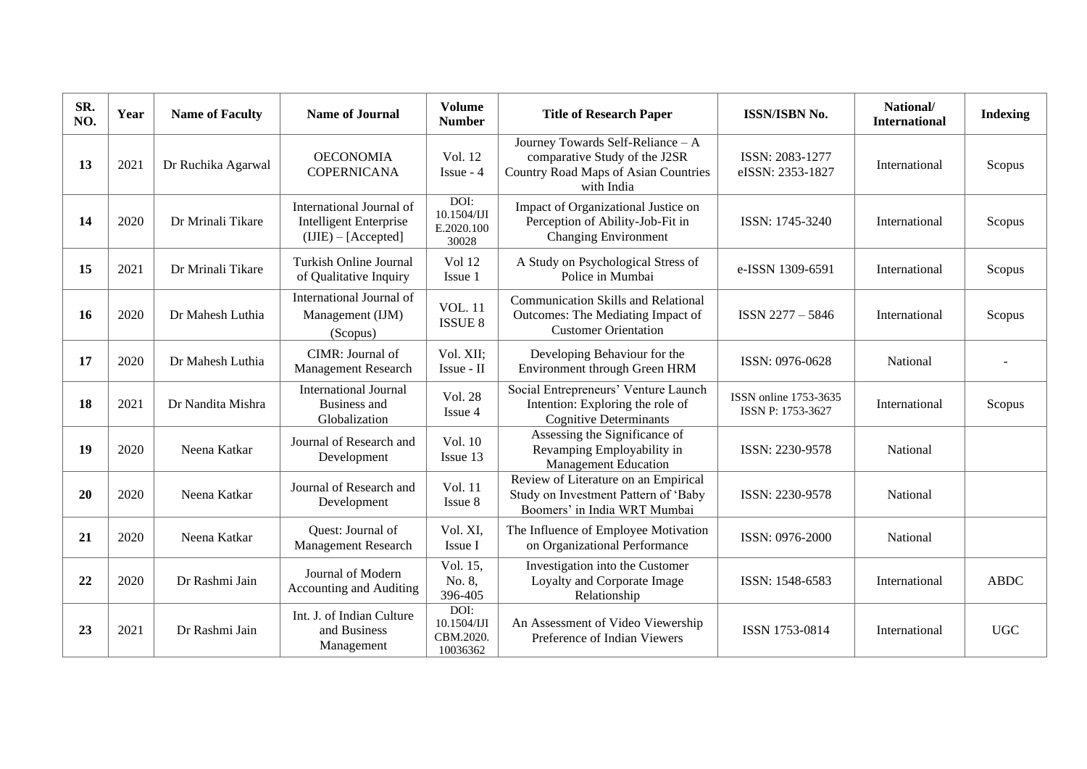| SR.<br>NO. | Year | <b>Name of Faculty</b> | <b>Name of Journal</b>                                                             | <b>Volume</b><br><b>Number</b>               | <b>Title of Research Paper</b>                                                                                                  | <b>ISSN/ISBN No.</b>                       | National/<br><b>International</b> | <b>Indexing</b> |
|------------|------|------------------------|------------------------------------------------------------------------------------|----------------------------------------------|---------------------------------------------------------------------------------------------------------------------------------|--------------------------------------------|-----------------------------------|-----------------|
| 13         | 2021 | Dr Ruchika Agarwal     | <b>OECONOMIA</b><br><b>COPERNICANA</b>                                             | Vol. 12<br>Issue - 4                         | Journey Towards Self-Reliance - A<br>comparative Study of the J2SR<br><b>Country Road Maps of Asian Countries</b><br>with India | ISSN: 2083-1277<br>eISSN: 2353-1827        | International                     | Scopus          |
| 14         | 2020 | Dr Mrinali Tikare      | International Journal of<br><b>Intelligent Enterprise</b><br>$(IIIE) - [Accepted]$ | DOI:<br>10.1504/IJI<br>E.2020.100<br>30028   | Impact of Organizational Justice on<br>Perception of Ability-Job-Fit in<br><b>Changing Environment</b>                          | ISSN: 1745-3240                            | International                     | Scopus          |
| 15         | 2021 | Dr Mrinali Tikare      | <b>Turkish Online Journal</b><br>of Qualitative Inquiry                            | <b>Vol</b> 12<br>Issue 1                     | A Study on Psychological Stress of<br>Police in Mumbai                                                                          | e-ISSN 1309-6591                           | International                     | Scopus          |
| <b>16</b>  | 2020 | Dr Mahesh Luthia       | International Journal of<br>Management (IJM)<br>(Scopus)                           | <b>VOL. 11</b><br><b>ISSUE 8</b>             | <b>Communication Skills and Relational</b><br>Outcomes: The Mediating Impact of<br><b>Customer Orientation</b>                  | ISSN 2277-5846                             | International                     | Scopus          |
| 17         | 2020 | Dr Mahesh Luthia       | CIMR: Journal of<br>Management Research                                            | Vol. XII:<br>Issue - II                      | Developing Behaviour for the<br>Environment through Green HRM                                                                   | ISSN: 0976-0628                            | National                          |                 |
| 18         | 2021 | Dr Nandita Mishra      | <b>International Journal</b><br>Business and<br>Globalization                      | Vol. 28<br>Issue 4                           | Social Entrepreneurs' Venture Launch<br>Intention: Exploring the role of<br><b>Cognitive Determinants</b>                       | ISSN online 1753-3635<br>ISSN P: 1753-3627 | International                     | Scopus          |
| 19         | 2020 | Neena Katkar           | Journal of Research and<br>Development                                             | Vol. 10<br>Issue 13                          | Assessing the Significance of<br>Revamping Employability in<br><b>Management Education</b>                                      | ISSN: 2230-9578                            | National                          |                 |
| 20         | 2020 | Neena Katkar           | Journal of Research and<br>Development                                             | Vol. 11<br>Issue 8                           | Review of Literature on an Empirical<br>Study on Investment Pattern of 'Baby<br>Boomers' in India WRT Mumbai                    | ISSN: 2230-9578                            | National                          |                 |
| 21         | 2020 | Neena Katkar           | <b>Ouest:</b> Journal of<br><b>Management Research</b>                             | Vol. XI,<br>Issue I                          | The Influence of Employee Motivation<br>on Organizational Performance                                                           | ISSN: 0976-2000                            | National                          |                 |
| 22         | 2020 | Dr Rashmi Jain         | Journal of Modern<br>Accounting and Auditing                                       | Vol. 15,<br>No. 8,<br>396-405                | Investigation into the Customer<br>Loyalty and Corporate Image<br>Relationship                                                  | ISSN: 1548-6583                            | International                     | <b>ABDC</b>     |
| 23         | 2021 | Dr Rashmi Jain         | Int. J. of Indian Culture<br>and Business<br>Management                            | DOI:<br>10.1504/IJI<br>CBM.2020.<br>10036362 | An Assessment of Video Viewership<br>Preference of Indian Viewers                                                               | ISSN 1753-0814                             | International                     | <b>UGC</b>      |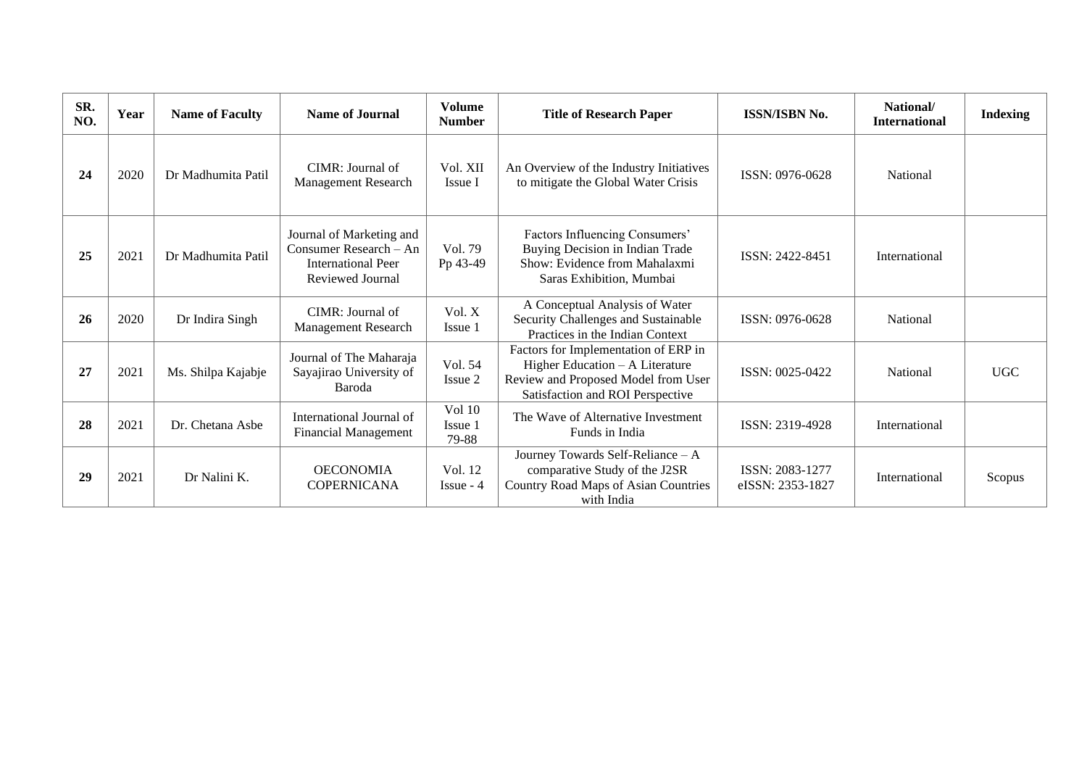| SR.<br>NO. | Year | <b>Name of Faculty</b> | <b>Name of Journal</b>                                                                              | <b>Volume</b><br><b>Number</b>    | <b>Title of Research Paper</b><br><b>ISSN/ISBN No.</b>                                                                                               |                                     | National/<br><b>International</b> | <b>Indexing</b> |
|------------|------|------------------------|-----------------------------------------------------------------------------------------------------|-----------------------------------|------------------------------------------------------------------------------------------------------------------------------------------------------|-------------------------------------|-----------------------------------|-----------------|
| 24         | 2020 | Dr Madhumita Patil     | CIMR: Journal of<br><b>Management Research</b>                                                      | Vol. XII<br>Issue I               | An Overview of the Industry Initiatives<br>to mitigate the Global Water Crisis                                                                       | ISSN: 0976-0628                     | <b>National</b>                   |                 |
| 25         | 2021 | Dr Madhumita Patil     | Journal of Marketing and<br>Consumer Research – An<br><b>International Peer</b><br>Reviewed Journal | Vol. 79<br>Pp 43-49               | Factors Influencing Consumers'<br>Buying Decision in Indian Trade<br>Show: Evidence from Mahalaxmi<br>Saras Exhibition, Mumbai                       | ISSN: 2422-8451                     | International                     |                 |
| 26         | 2020 | Dr Indira Singh        | CIMR: Journal of<br><b>Management Research</b>                                                      | Vol. X<br>Issue 1                 | A Conceptual Analysis of Water<br>Security Challenges and Sustainable<br>Practices in the Indian Context                                             | ISSN: 0976-0628                     | <b>National</b>                   |                 |
| 27         | 2021 | Ms. Shilpa Kajabje     | Journal of The Maharaja<br>Sayajirao University of<br>Baroda                                        | Vol. 54<br>Issue 2                | Factors for Implementation of ERP in<br>Higher Education $- A$ Literature<br>Review and Proposed Model from User<br>Satisfaction and ROI Perspective | ISSN: 0025-0422                     | National                          | <b>UGC</b>      |
| 28         | 2021 | Dr. Chetana Asbe       | International Journal of<br><b>Financial Management</b>                                             | <b>Vol 10</b><br>Issue 1<br>79-88 | The Wave of Alternative Investment<br>Funds in India                                                                                                 | ISSN: 2319-4928                     | International                     |                 |
| 29         | 2021 | Dr Nalini K.           | <b>OECONOMIA</b><br><b>COPERNICANA</b>                                                              | Vol. 12<br>$I$ ssue - 4           | Journey Towards Self-Reliance - A<br>comparative Study of the J2SR<br>Country Road Maps of Asian Countries<br>with India                             | ISSN: 2083-1277<br>eISSN: 2353-1827 | International                     | Scopus          |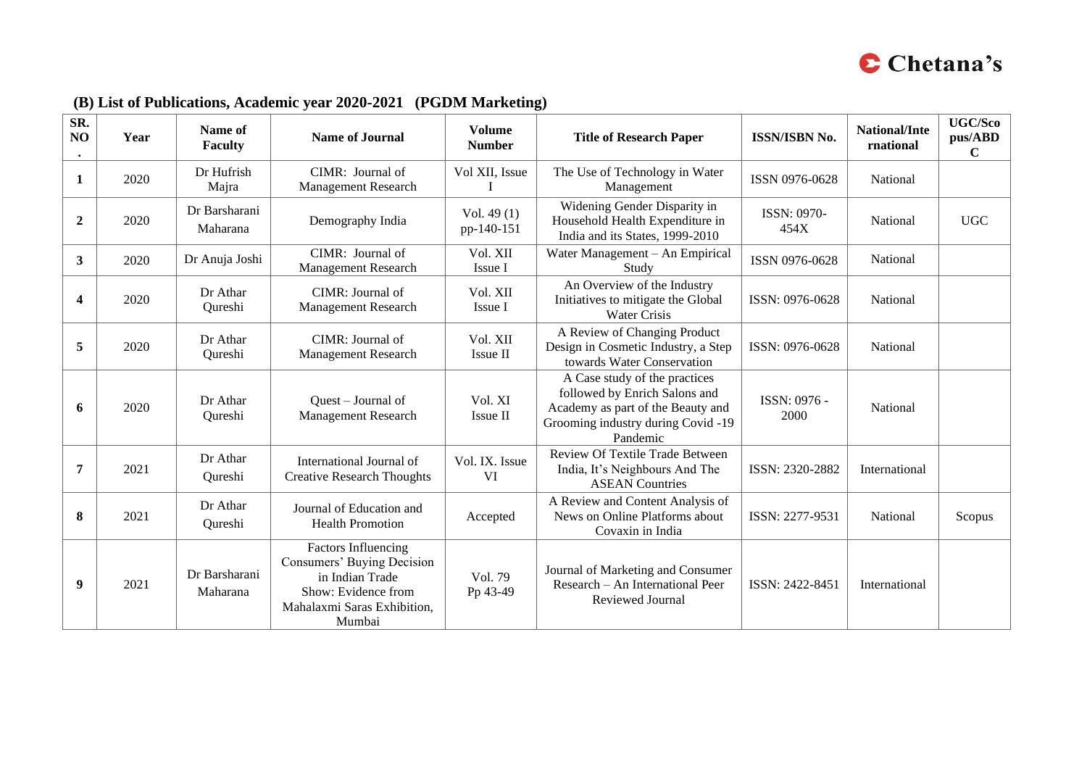

| SR.<br>NO<br>$\bullet$  | Year | Name of<br><b>Faculty</b> | <b>Name of Journal</b>                                                                                                                      | <b>Volume</b><br><b>Number</b> | <b>Title of Research Paper</b>                                                                                                                        | <b>ISSN/ISBN No.</b>       | National/Inte<br>rnational | <b>UGC/Sco</b><br>pus/ABD<br>$\mathbf C$ |
|-------------------------|------|---------------------------|---------------------------------------------------------------------------------------------------------------------------------------------|--------------------------------|-------------------------------------------------------------------------------------------------------------------------------------------------------|----------------------------|----------------------------|------------------------------------------|
| 1                       | 2020 | Dr Hufrish<br>Majra       | CIMR: Journal of<br>Management Research                                                                                                     | Vol XII, Issue                 | The Use of Technology in Water<br>Management                                                                                                          | ISSN 0976-0628             | National                   |                                          |
| $\boldsymbol{2}$        | 2020 | Dr Barsharani<br>Maharana | Demography India                                                                                                                            | Vol. 49 $(1)$<br>pp-140-151    | Widening Gender Disparity in<br>Household Health Expenditure in<br>India and its States, 1999-2010                                                    | <b>ISSN: 0970-</b><br>454X | National                   | <b>UGC</b>                               |
| $\mathbf{3}$            | 2020 | Dr Anuja Joshi            | CIMR: Journal of<br>Management Research                                                                                                     | Vol. XII<br>Issue I            | Water Management - An Empirical<br>Study                                                                                                              | ISSN 0976-0628             | National                   |                                          |
| $\overline{\mathbf{4}}$ | 2020 | Dr Athar<br>Qureshi       | CIMR: Journal of<br><b>Management Research</b>                                                                                              | Vol. XII<br>Issue I            | An Overview of the Industry<br>Initiatives to mitigate the Global<br><b>Water Crisis</b>                                                              | ISSN: 0976-0628            | National                   |                                          |
| 5                       | 2020 | Dr Athar<br>Qureshi       | CIMR: Journal of<br><b>Management Research</b>                                                                                              | Vol. XII<br>Issue II           | A Review of Changing Product<br>Design in Cosmetic Industry, a Step<br>towards Water Conservation                                                     | ISSN: 0976-0628            | National                   |                                          |
| 6                       | 2020 | Dr Athar<br>Qureshi       | Quest - Journal of<br><b>Management Research</b>                                                                                            | Vol. XI<br>Issue II            | A Case study of the practices<br>followed by Enrich Salons and<br>Academy as part of the Beauty and<br>Grooming industry during Covid -19<br>Pandemic | ISSN: 0976 -<br>2000       | National                   |                                          |
| 7                       | 2021 | Dr Athar<br>Qureshi       | International Journal of<br><b>Creative Research Thoughts</b>                                                                               | Vol. IX. Issue<br><b>VI</b>    | Review Of Textile Trade Between<br>India, It's Neighbours And The<br><b>ASEAN Countries</b>                                                           | ISSN: 2320-2882            | International              |                                          |
| 8                       | 2021 | Dr Athar<br>Qureshi       | Journal of Education and<br><b>Health Promotion</b>                                                                                         | Accepted                       | A Review and Content Analysis of<br>News on Online Platforms about<br>Covaxin in India                                                                | ISSN: 2277-9531            | National                   | Scopus                                   |
| $\boldsymbol{9}$        | 2021 | Dr Barsharani<br>Maharana | <b>Factors Influencing</b><br>Consumers' Buying Decision<br>in Indian Trade<br>Show: Evidence from<br>Mahalaxmi Saras Exhibition,<br>Mumbai | Vol. 79<br>Pp 43-49            | Journal of Marketing and Consumer<br>Research - An International Peer<br>Reviewed Journal                                                             | ISSN: 2422-8451            | International              |                                          |

### **(B) List of Publications, Academic year 2020-2021 (PGDM Marketing)**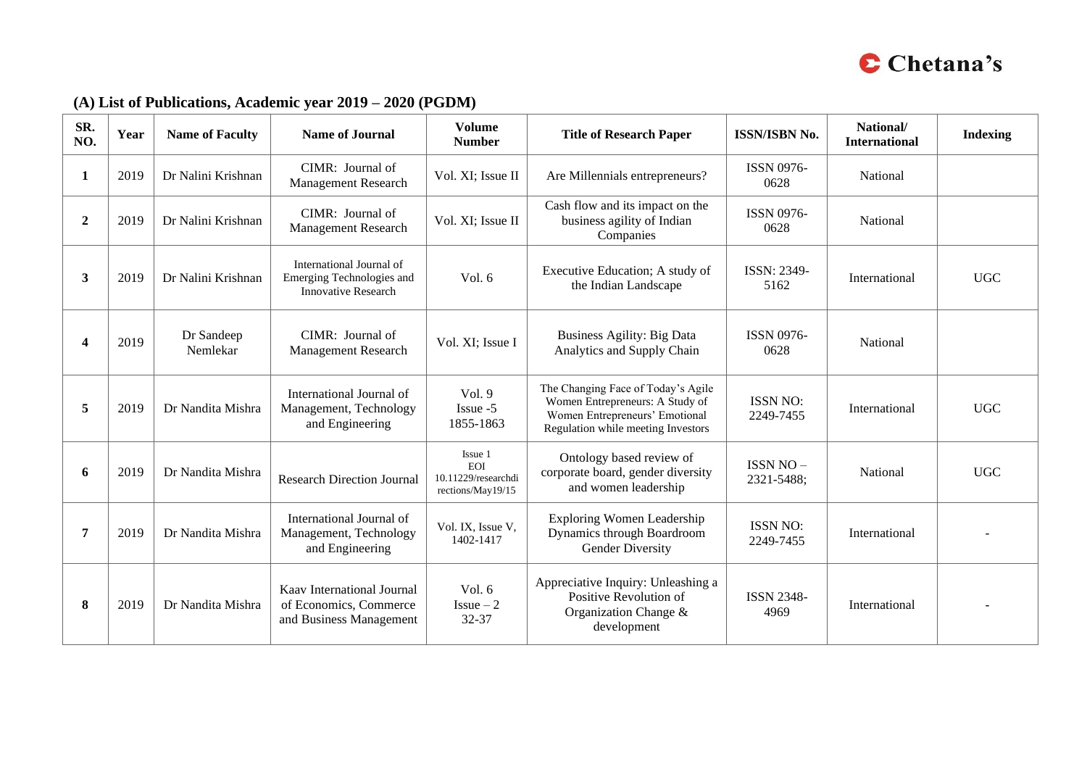

### **(A) List of Publications, Academic year 2019 – 2020 (PGDM)**

| SR.<br>NO.   | Year | <b>Name of Faculty</b> | <b>Name of Journal</b>                                                              | <b>Volume</b><br><b>Number</b>                                    | <b>Title of Research Paper</b>                                                                                                                | <b>ISSN/ISBN No.</b>           | National/<br><b>International</b> | <b>Indexing</b> |
|--------------|------|------------------------|-------------------------------------------------------------------------------------|-------------------------------------------------------------------|-----------------------------------------------------------------------------------------------------------------------------------------------|--------------------------------|-----------------------------------|-----------------|
| 1            | 2019 | Dr Nalini Krishnan     | CIMR: Journal of<br>Management Research                                             | Vol. XI; Issue II                                                 | Are Millennials entrepreneurs?                                                                                                                | <b>ISSN 0976-</b><br>0628      | National                          |                 |
| $\mathbf{2}$ | 2019 | Dr Nalini Krishnan     | CIMR: Journal of<br><b>Management Research</b>                                      | Vol. XI; Issue II                                                 | Cash flow and its impact on the<br>business agility of Indian<br>Companies                                                                    | <b>ISSN 0976-</b><br>0628      | National                          |                 |
| 3            | 2019 | Dr Nalini Krishnan     | International Journal of<br>Emerging Technologies and<br><b>Innovative Research</b> | Vol. $6$                                                          | Executive Education; A study of<br>the Indian Landscape                                                                                       | ISSN: 2349-<br>5162            | International                     | <b>UGC</b>      |
| Δ            | 2019 | Dr Sandeep<br>Nemlekar | CIMR: Journal of<br>Management Research                                             | Vol. XI; Issue I                                                  | <b>Business Agility: Big Data</b><br>Analytics and Supply Chain                                                                               | <b>ISSN 0976-</b><br>0628      | National                          |                 |
| 5            | 2019 | Dr Nandita Mishra      | International Journal of<br>Management, Technology<br>and Engineering               | Vol. $9$<br>Issue -5<br>1855-1863                                 | The Changing Face of Today's Agile<br>Women Entrepreneurs: A Study of<br>Women Entrepreneurs' Emotional<br>Regulation while meeting Investors | <b>ISSN NO:</b><br>2249-7455   | International                     | <b>UGC</b>      |
| 6            | 2019 | Dr Nandita Mishra      | <b>Research Direction Journal</b>                                                   | Issue 1<br><b>EOI</b><br>10.11229/researchdi<br>rections/May19/15 | Ontology based review of<br>corporate board, gender diversity<br>and women leadership                                                         | <b>ISSN NO -</b><br>2321-5488; | National                          | <b>UGC</b>      |
| 7            | 2019 | Dr Nandita Mishra      | International Journal of<br>Management, Technology<br>and Engineering               | Vol. IX, Issue V,<br>1402-1417                                    | <b>Exploring Women Leadership</b><br>Dynamics through Boardroom<br><b>Gender Diversity</b>                                                    | <b>ISSN NO:</b><br>2249-7455   | International                     |                 |
| 8            | 2019 | Dr Nandita Mishra      | Kaav International Journal<br>of Economics, Commerce<br>and Business Management     | Vol. $6$<br>$Is sue-2$<br>32-37                                   | Appreciative Inquiry: Unleashing a<br>Positive Revolution of<br>Organization Change &<br>development                                          | <b>ISSN 2348-</b><br>4969      | International                     |                 |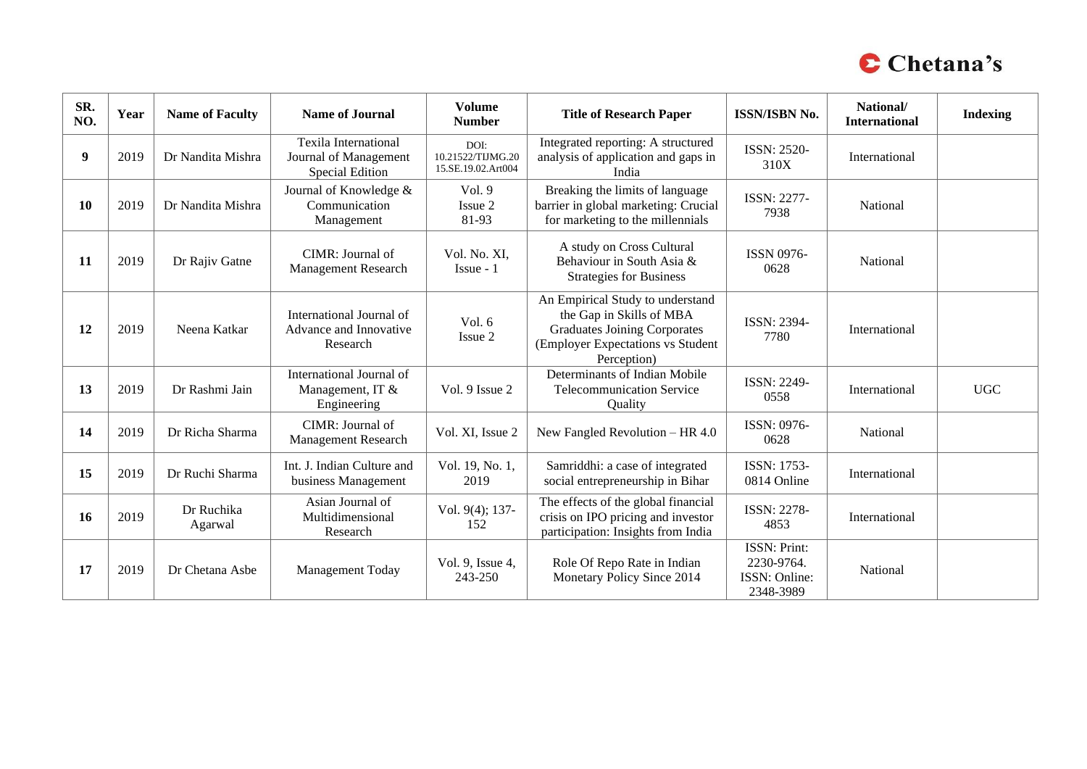

| SR.<br>NO. | Year | <b>Name of Faculty</b> | <b>Name of Journal</b>                                                  | <b>Volume</b><br><b>Number</b>                  | <b>Title of Research Paper</b>                                                                                                                          | <b>ISSN/ISBN No.</b>                                            | National/<br><b>International</b> | <b>Indexing</b> |
|------------|------|------------------------|-------------------------------------------------------------------------|-------------------------------------------------|---------------------------------------------------------------------------------------------------------------------------------------------------------|-----------------------------------------------------------------|-----------------------------------|-----------------|
| 9          | 2019 | Dr Nandita Mishra      | <b>Texila International</b><br>Journal of Management<br>Special Edition | DOI:<br>10.21522/TLJMG.20<br>15.SE.19.02.Art004 | Integrated reporting: A structured<br>analysis of application and gaps in<br>India                                                                      | ISSN: 2520-<br>310X                                             | International                     |                 |
| 10         | 2019 | Dr Nandita Mishra      | Journal of Knowledge &<br>Communication<br>Management                   | Vol. 9<br>Issue 2<br>81-93                      | Breaking the limits of language<br>barrier in global marketing: Crucial<br>for marketing to the millennials                                             | <b>ISSN: 2277-</b><br>7938                                      | National                          |                 |
| 11         | 2019 | Dr Rajiv Gatne         | CIMR: Journal of<br><b>Management Research</b>                          | Vol. No. XI,<br>$I$ ssue - 1                    | A study on Cross Cultural<br>Behaviour in South Asia &<br><b>Strategies for Business</b>                                                                | <b>ISSN 0976-</b><br>0628                                       | National                          |                 |
| 12         | 2019 | Neena Katkar           | International Journal of<br>Advance and Innovative<br>Research          | Vol. 6<br>Issue 2                               | An Empirical Study to understand<br>the Gap in Skills of MBA<br><b>Graduates Joining Corporates</b><br>(Employer Expectations vs Student<br>Perception) | ISSN: 2394-<br>7780                                             | International                     |                 |
| 13         | 2019 | Dr Rashmi Jain         | International Journal of<br>Management, IT &<br>Engineering             | Vol. 9 Issue 2                                  | Determinants of Indian Mobile<br><b>Telecommunication Service</b><br>Quality                                                                            | <b>ISSN: 2249-</b><br>0558                                      | International                     | <b>UGC</b>      |
| 14         | 2019 | Dr Richa Sharma        | CIMR: Journal of<br>Management Research                                 | Vol. XI, Issue 2                                | New Fangled Revolution - HR 4.0                                                                                                                         | ISSN: 0976-<br>0628                                             | National                          |                 |
| 15         | 2019 | Dr Ruchi Sharma        | Int. J. Indian Culture and<br>business Management                       | Vol. 19, No. 1,<br>2019                         | Samriddhi: a case of integrated<br>social entrepreneurship in Bihar                                                                                     | ISSN: 1753-<br>0814 Online                                      | International                     |                 |
| <b>16</b>  | 2019 | Dr Ruchika<br>Agarwal  | Asian Journal of<br>Multidimensional<br>Research                        | Vol. 9(4); 137-<br>152                          | The effects of the global financial<br>crisis on IPO pricing and investor<br>participation: Insights from India                                         | <b>ISSN: 2278-</b><br>4853                                      | International                     |                 |
| 17         | 2019 | Dr Chetana Asbe        | Management Today                                                        | Vol. 9, Issue 4,<br>243-250                     | Role Of Repo Rate in Indian<br>Monetary Policy Since 2014                                                                                               | <b>ISSN: Print:</b><br>2230-9764.<br>ISSN: Online:<br>2348-3989 | National                          |                 |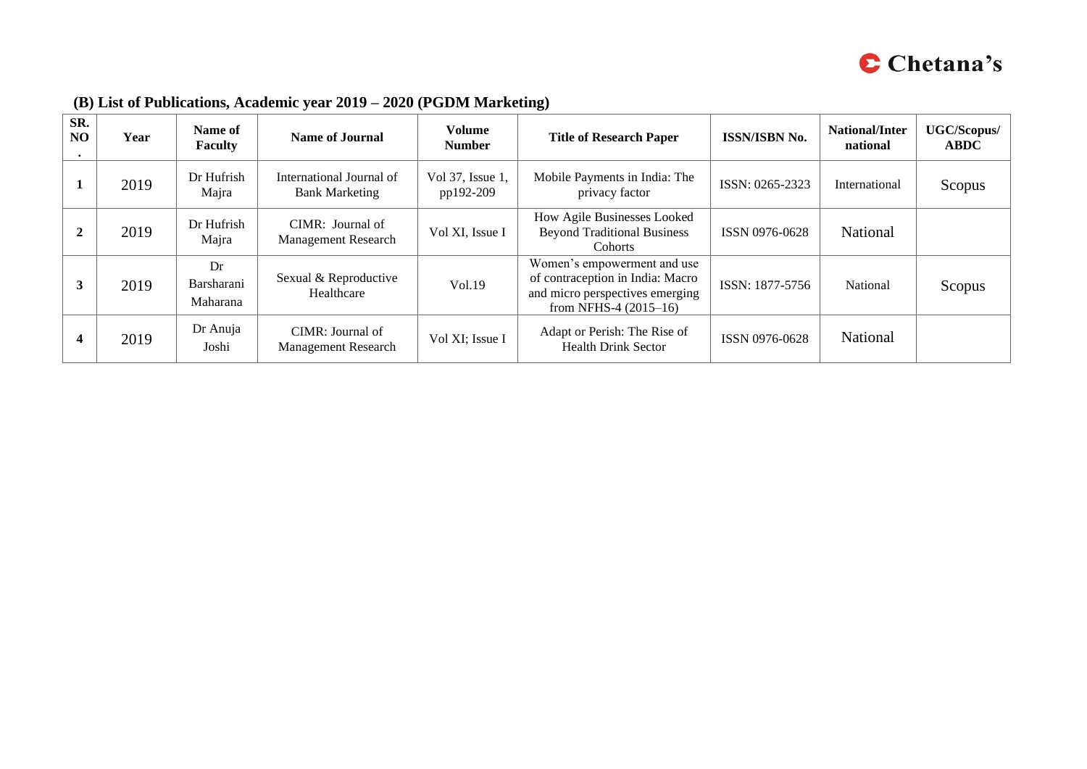

| SR.<br>N <sub>O</sub> | Year | Name of<br><b>Faculty</b>    | <b>Name of Journal</b>                            | Volume<br><b>Number</b>       | <b>Title of Research Paper</b>                                                                                                | <b>ISSN/ISBN No.</b> | National/Inter<br>national | UGC/Scopus/<br><b>ABDC</b> |
|-----------------------|------|------------------------------|---------------------------------------------------|-------------------------------|-------------------------------------------------------------------------------------------------------------------------------|----------------------|----------------------------|----------------------------|
|                       | 2019 | Dr Hufrish<br>Majra          | International Journal of<br><b>Bank Marketing</b> | Vol 37, Issue 1,<br>pp192-209 | Mobile Payments in India: The<br>privacy factor                                                                               | ISSN: 0265-2323      | International              | Scopus                     |
| ∠                     | 2019 | Dr Hufrish<br>Majra          | CIMR: Journal of<br><b>Management Research</b>    | Vol XI, Issue I               | How Agile Businesses Looked<br><b>Beyond Traditional Business</b><br><b>Cohorts</b>                                           | ISSN 0976-0628       | National                   |                            |
|                       | 2019 | Dr<br>Barsharani<br>Maharana | Sexual & Reproductive<br>Healthcare               | Vol.19                        | Women's empowerment and use<br>of contraception in India: Macro<br>and micro perspectives emerging<br>from NFHS-4 $(2015-16)$ | ISSN: 1877-5756      | National                   | Scopus                     |
|                       | 2019 | Dr Anuja<br>Joshi            | CIMR: Journal of<br><b>Management Research</b>    | Vol XI; Issue I               | Adapt or Perish: The Rise of<br><b>Health Drink Sector</b>                                                                    | ISSN 0976-0628       | National                   |                            |

### **(B) List of Publications, Academic year 2019 – 2020 (PGDM Marketing)**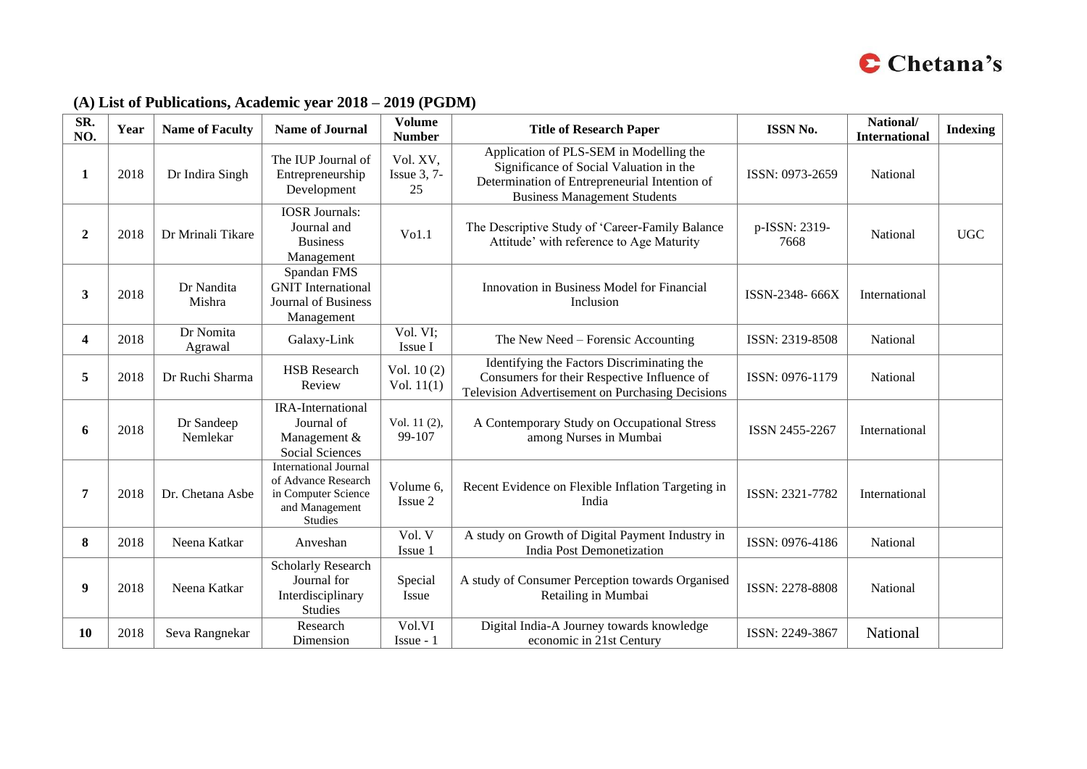

### **(A) List of Publications, Academic year 2018 – 2019 (PGDM)**

| SR.<br>NO.     | Year | <b>Name of Faculty</b> | <b>Name of Journal</b>                                                                                  | <b>Volume</b><br><b>Number</b>   | <b>Title of Research Paper</b>                                                                                                                                             | <b>ISSN No.</b>       | National/<br><b>International</b> | <b>Indexing</b> |
|----------------|------|------------------------|---------------------------------------------------------------------------------------------------------|----------------------------------|----------------------------------------------------------------------------------------------------------------------------------------------------------------------------|-----------------------|-----------------------------------|-----------------|
| 1              | 2018 | Dr Indira Singh        | The IUP Journal of<br>Entrepreneurship<br>Development                                                   | Vol. XV,<br>Issue $3, 7$ -<br>25 | Application of PLS-SEM in Modelling the<br>Significance of Social Valuation in the<br>Determination of Entrepreneurial Intention of<br><b>Business Management Students</b> | ISSN: 0973-2659       | National                          |                 |
| $\overline{2}$ | 2018 | Dr Mrinali Tikare      | <b>IOSR</b> Journals:<br>Journal and<br><b>Business</b><br>Management                                   | Vol.1                            | The Descriptive Study of 'Career-Family Balance<br>Attitude' with reference to Age Maturity                                                                                | p-ISSN: 2319-<br>7668 | National                          | <b>UGC</b>      |
| 3              | 2018 | Dr Nandita<br>Mishra   | Spandan FMS<br><b>GNIT</b> International<br>Journal of Business<br>Management                           |                                  | Innovation in Business Model for Financial<br>Inclusion                                                                                                                    | ISSN-2348-666X        | International                     |                 |
| 4              | 2018 | Dr Nomita<br>Agrawal   | Galaxy-Link                                                                                             | Vol. VI;<br>Issue I              | The New Need - Forensic Accounting                                                                                                                                         | ISSN: 2319-8508       | National                          |                 |
| 5              | 2018 | Dr Ruchi Sharma        | <b>HSB</b> Research<br>Review                                                                           | Vol. $10(2)$<br>Vol. $11(1)$     | Identifying the Factors Discriminating the<br>Consumers for their Respective Influence of<br>Television Advertisement on Purchasing Decisions                              | ISSN: 0976-1179       | National                          |                 |
| 6              | 2018 | Dr Sandeep<br>Nemlekar | <b>IRA-International</b><br>Journal of<br>Management &<br>Social Sciences                               | Vol. 11 (2),<br>99-107           | A Contemporary Study on Occupational Stress<br>among Nurses in Mumbai                                                                                                      | ISSN 2455-2267        | International                     |                 |
| 7              | 2018 | Dr. Chetana Asbe       | <b>International Journal</b><br>of Advance Research<br>in Computer Science<br>and Management<br>Studies | Volume 6,<br>Issue 2             | Recent Evidence on Flexible Inflation Targeting in<br>India                                                                                                                | ISSN: 2321-7782       | International                     |                 |
| 8              | 2018 | Neena Katkar           | Anveshan                                                                                                | Vol. V<br>Issue 1                | A study on Growth of Digital Payment Industry in<br>India Post Demonetization                                                                                              | ISSN: 0976-4186       | National                          |                 |
| 9              | 2018 | Neena Katkar           | <b>Scholarly Research</b><br>Journal for<br>Interdisciplinary<br><b>Studies</b>                         | Special<br>Issue                 | A study of Consumer Perception towards Organised<br>Retailing in Mumbai                                                                                                    | ISSN: 2278-8808       | National                          |                 |
| 10             | 2018 | Seva Rangnekar         | Research<br>Dimension                                                                                   | Vol.VI<br>$I$ ssue - 1           | Digital India-A Journey towards knowledge<br>economic in 21st Century                                                                                                      | ISSN: 2249-3867       | National                          |                 |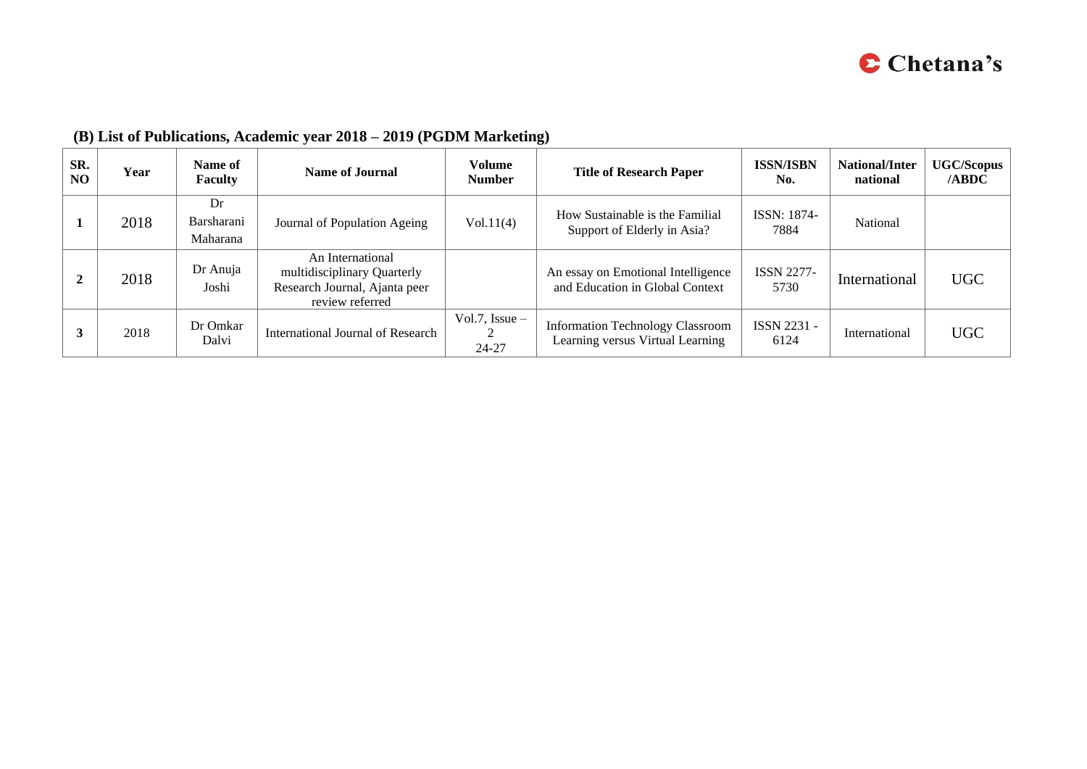

| SR.<br>N <sub>O</sub> | Year | Name of<br><b>Faculty</b>    | Name of Journal                                                                                     | <b>Volume</b><br><b>Number</b> | <b>Title of Research Paper</b>                                              | <b>ISSN/ISBN</b><br>No.    | <b>National/Inter</b><br>national | <b>UGC/Scopus</b><br>/ABDC |
|-----------------------|------|------------------------------|-----------------------------------------------------------------------------------------------------|--------------------------------|-----------------------------------------------------------------------------|----------------------------|-----------------------------------|----------------------------|
|                       | 2018 | Dr<br>Barsharani<br>Maharana | Journal of Population Ageing                                                                        | Vol.11(4)                      | How Sustainable is the Familial<br>Support of Elderly in Asia?              | <b>ISSN: 1874-</b><br>7884 | National                          |                            |
|                       | 2018 | Dr Anuja<br>Joshi            | An International<br>multidisciplinary Quarterly<br>Research Journal, Ajanta peer<br>review referred |                                | An essay on Emotional Intelligence<br>and Education in Global Context       | <b>ISSN 2277-</b><br>5730  | International                     | <b>UGC</b>                 |
|                       | 2018 | Dr Omkar<br>Dalvi            | International Journal of Research                                                                   | Vol.7, Issue $-$<br>24-27      | <b>Information Technology Classroom</b><br>Learning versus Virtual Learning | ISSN 2231 -<br>6124        | International                     | <b>UGC</b>                 |

# **(B) List of Publications, Academic year 2018 – 2019 (PGDM Marketing)**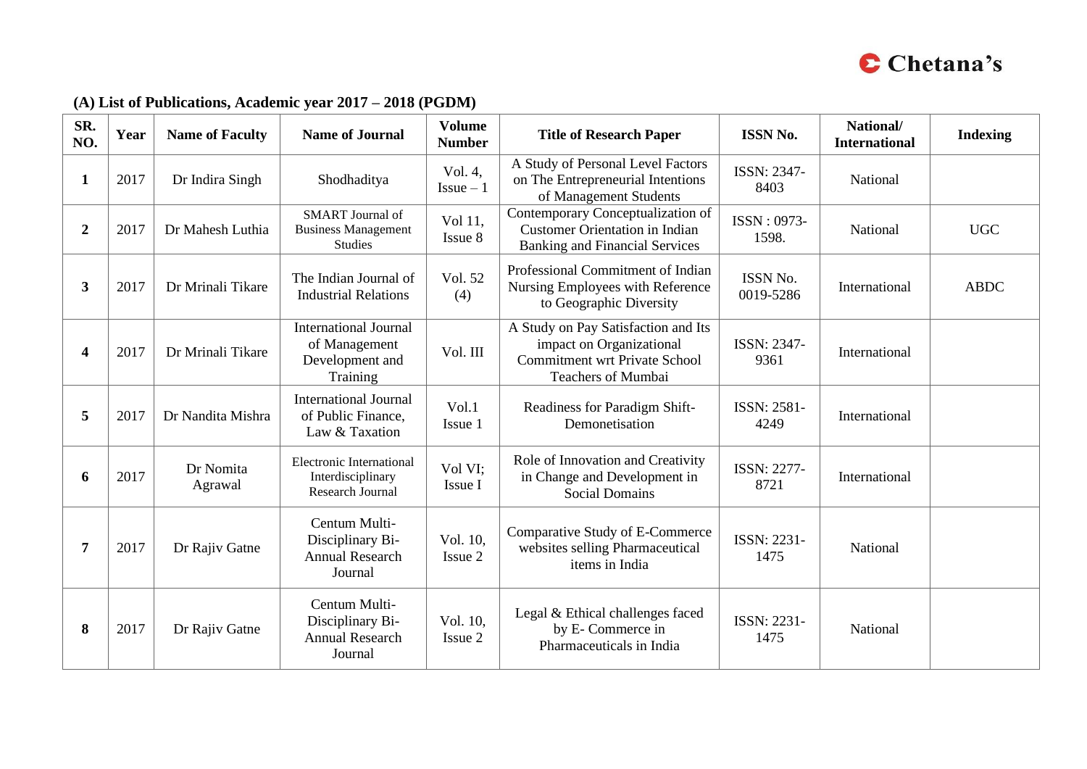

### **(A) List of Publications, Academic year 2017 – 2018 (PGDM)**

| SR.<br>NO.       | Year | <b>Name of Faculty</b> | <b>Name of Journal</b>                                                       | <b>Volume</b><br><b>Number</b> | <b>Title of Research Paper</b>                                                                                                       | <b>ISSN No.</b>            | National/<br><b>International</b> | <b>Indexing</b> |
|------------------|------|------------------------|------------------------------------------------------------------------------|--------------------------------|--------------------------------------------------------------------------------------------------------------------------------------|----------------------------|-----------------------------------|-----------------|
| 1                | 2017 | Dr Indira Singh        | Shodhaditya                                                                  | Vol. 4,<br>$Is sue-1$          | A Study of Personal Level Factors<br>on The Entrepreneurial Intentions<br>of Management Students                                     | ISSN: 2347-<br>8403        | National                          |                 |
| $\boldsymbol{2}$ | 2017 | Dr Mahesh Luthia       | <b>SMART</b> Journal of<br><b>Business Management</b><br><b>Studies</b>      | Vol 11,<br>Issue 8             | Contemporary Conceptualization of<br><b>Customer Orientation in Indian</b><br><b>Banking and Financial Services</b>                  | ISSN: 0973-<br>1598.       | National                          | <b>UGC</b>      |
| 3                | 2017 | Dr Mrinali Tikare      | The Indian Journal of<br><b>Industrial Relations</b>                         | Vol. 52<br>(4)                 | Professional Commitment of Indian<br>Nursing Employees with Reference<br>to Geographic Diversity                                     | ISSN No.<br>0019-5286      | International                     | <b>ABDC</b>     |
| 4                | 2017 | Dr Mrinali Tikare      | <b>International Journal</b><br>of Management<br>Development and<br>Training | Vol. III                       | A Study on Pay Satisfaction and Its<br>impact on Organizational<br><b>Commitment wrt Private School</b><br><b>Teachers of Mumbai</b> | <b>ISSN: 2347-</b><br>9361 | International                     |                 |
| 5                | 2017 | Dr Nandita Mishra      | <b>International Journal</b><br>of Public Finance,<br>Law & Taxation         | Vol.1<br>Issue 1               | Readiness for Paradigm Shift-<br>Demonetisation                                                                                      | ISSN: 2581-<br>4249        | International                     |                 |
| 6                | 2017 | Dr Nomita<br>Agrawal   | <b>Electronic International</b><br>Interdisciplinary<br>Research Journal     | Vol VI;<br>Issue I             | Role of Innovation and Creativity<br>in Change and Development in<br><b>Social Domains</b>                                           | <b>ISSN: 2277-</b><br>8721 | International                     |                 |
| 7                | 2017 | Dr Rajiv Gatne         | Centum Multi-<br>Disciplinary Bi-<br><b>Annual Research</b><br>Journal       | Vol. 10,<br>Issue 2            | Comparative Study of E-Commerce<br>websites selling Pharmaceutical<br>items in India                                                 | ISSN: 2231-<br>1475        | National                          |                 |
| 8                | 2017 | Dr Rajiv Gatne         | Centum Multi-<br>Disciplinary Bi-<br><b>Annual Research</b><br>Journal       | Vol. 10,<br>Issue 2            | Legal & Ethical challenges faced<br>by E- Commerce in<br>Pharmaceuticals in India                                                    | ISSN: 2231-<br>1475        | National                          |                 |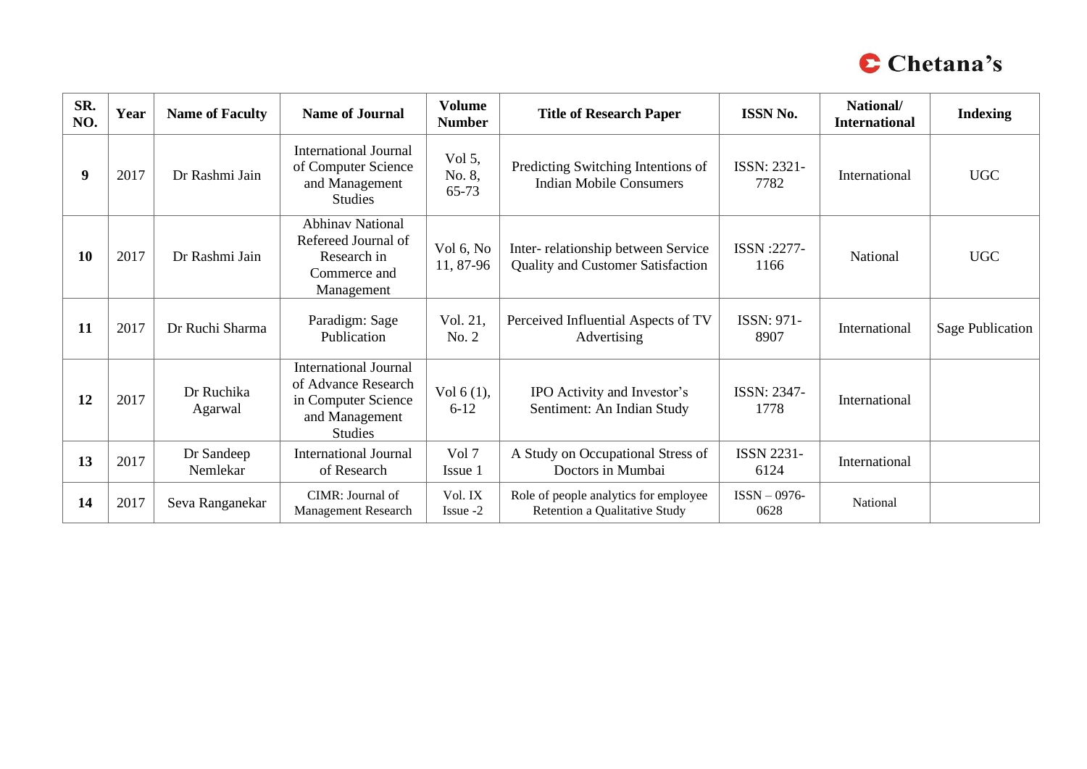

| SR.<br>NO. | Year | <b>Name of Faculty</b> | <b>Name of Journal</b>                                                                                         | <b>Volume</b><br><b>Number</b> | <b>Title of Research Paper</b>                                                 | <b>ISSN No.</b>           | National/<br><b>International</b> | <b>Indexing</b>         |
|------------|------|------------------------|----------------------------------------------------------------------------------------------------------------|--------------------------------|--------------------------------------------------------------------------------|---------------------------|-----------------------------------|-------------------------|
| 9          | 2017 | Dr Rashmi Jain         | <b>International Journal</b><br>of Computer Science<br>and Management<br><b>Studies</b>                        | Vol $5$ ,<br>No. 8,<br>65-73   | Predicting Switching Intentions of<br><b>Indian Mobile Consumers</b>           | ISSN: 2321-<br>7782       | International                     | <b>UGC</b>              |
| 10         | 2017 | Dr Rashmi Jain         | <b>Abhinav National</b><br>Refereed Journal of<br>Research in<br>Commerce and<br>Management                    | Vol 6, No<br>11, 87-96         | Inter-relationship between Service<br><b>Quality and Customer Satisfaction</b> | ISSN:2277-<br>1166        | National                          | <b>UGC</b>              |
| 11         | 2017 | Dr Ruchi Sharma        | Paradigm: Sage<br>Publication                                                                                  | Vol. 21,<br>No. 2              | Perceived Influential Aspects of TV<br>Advertising                             | ISSN: 971-<br>8907        | International                     | <b>Sage Publication</b> |
| 12         | 2017 | Dr Ruchika<br>Agarwal  | <b>International Journal</b><br>of Advance Research<br>in Computer Science<br>and Management<br><b>Studies</b> | Vol $6(1)$ ,<br>$6 - 12$       | IPO Activity and Investor's<br>Sentiment: An Indian Study                      | ISSN: 2347-<br>1778       | International                     |                         |
| 13         | 2017 | Dr Sandeep<br>Nemlekar | <b>International Journal</b><br>of Research                                                                    | Vol 7<br>Issue 1               | A Study on Occupational Stress of<br>Doctors in Mumbai                         | <b>ISSN 2231-</b><br>6124 | International                     |                         |
| 14         | 2017 | Seva Ranganekar        | CIMR: Journal of<br>Management Research                                                                        | Vol. IX<br>$I$ ssue $-2$       | Role of people analytics for employee<br>Retention a Qualitative Study         | $ISSN-0976-$<br>0628      | National                          |                         |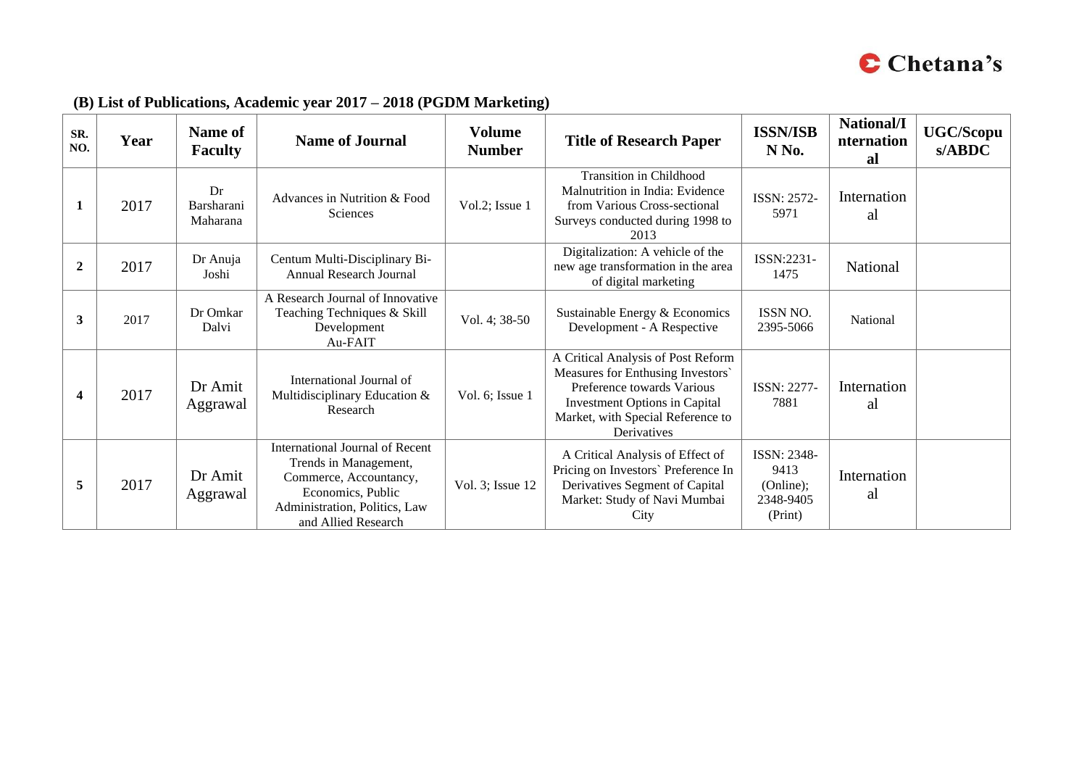

| SR.<br>NO.     | Year | Name of<br><b>Faculty</b>    | <b>Name of Journal</b>                                                                                                                                                 | <b>Volume</b><br><b>Number</b> | <b>Title of Research Paper</b>                                                                                                                                                             | <b>ISSN/ISB</b><br>N No.                                        | National/I<br>nternation<br>al | <b>UGC/Scopu</b><br>s/ABDC |
|----------------|------|------------------------------|------------------------------------------------------------------------------------------------------------------------------------------------------------------------|--------------------------------|--------------------------------------------------------------------------------------------------------------------------------------------------------------------------------------------|-----------------------------------------------------------------|--------------------------------|----------------------------|
| 1              | 2017 | Dr<br>Barsharani<br>Maharana | Advances in Nutrition & Food<br><b>Sciences</b>                                                                                                                        | Vol.2; Issue 1                 | <b>Transition in Childhood</b><br>Malnutrition in India: Evidence<br>from Various Cross-sectional<br>Surveys conducted during 1998 to<br>2013                                              | ISSN: 2572-<br>5971                                             | Internation<br>al              |                            |
| $\overline{2}$ | 2017 | Dr Anuja<br>Joshi            | Centum Multi-Disciplinary Bi-<br><b>Annual Research Journal</b>                                                                                                        |                                | Digitalization: A vehicle of the<br>new age transformation in the area<br>of digital marketing                                                                                             | ISSN:2231-<br>1475                                              | National                       |                            |
| 3              | 2017 | Dr Omkar<br>Dalvi            | A Research Journal of Innovative<br>Teaching Techniques & Skill<br>Development<br>Au-FAIT                                                                              | Vol. 4; 38-50                  | Sustainable Energy & Economics<br>Development - A Respective                                                                                                                               | ISSN NO.<br>2395-5066                                           | National                       |                            |
| 4              | 2017 | Dr Amit<br>Aggrawal          | International Journal of<br>Multidisciplinary Education &<br>Research                                                                                                  | Vol. 6; Issue 1                | A Critical Analysis of Post Reform<br>Measures for Enthusing Investors'<br>Preference towards Various<br>Investment Options in Capital<br>Market, with Special Reference to<br>Derivatives | ISSN: 2277-<br>7881                                             | Internation<br>al              |                            |
| 5              | 2017 | Dr Amit<br>Aggrawal          | <b>International Journal of Recent</b><br>Trends in Management,<br>Commerce, Accountancy,<br>Economics, Public<br>Administration, Politics, Law<br>and Allied Research | Vol. 3; Issue 12               | A Critical Analysis of Effect of<br>Pricing on Investors' Preference In<br>Derivatives Segment of Capital<br>Market: Study of Navi Mumbai<br>City                                          | <b>ISSN: 2348-</b><br>9413<br>(Online);<br>2348-9405<br>(Print) | Internation<br>al              |                            |

### **(B) List of Publications, Academic year 2017 – 2018 (PGDM Marketing)**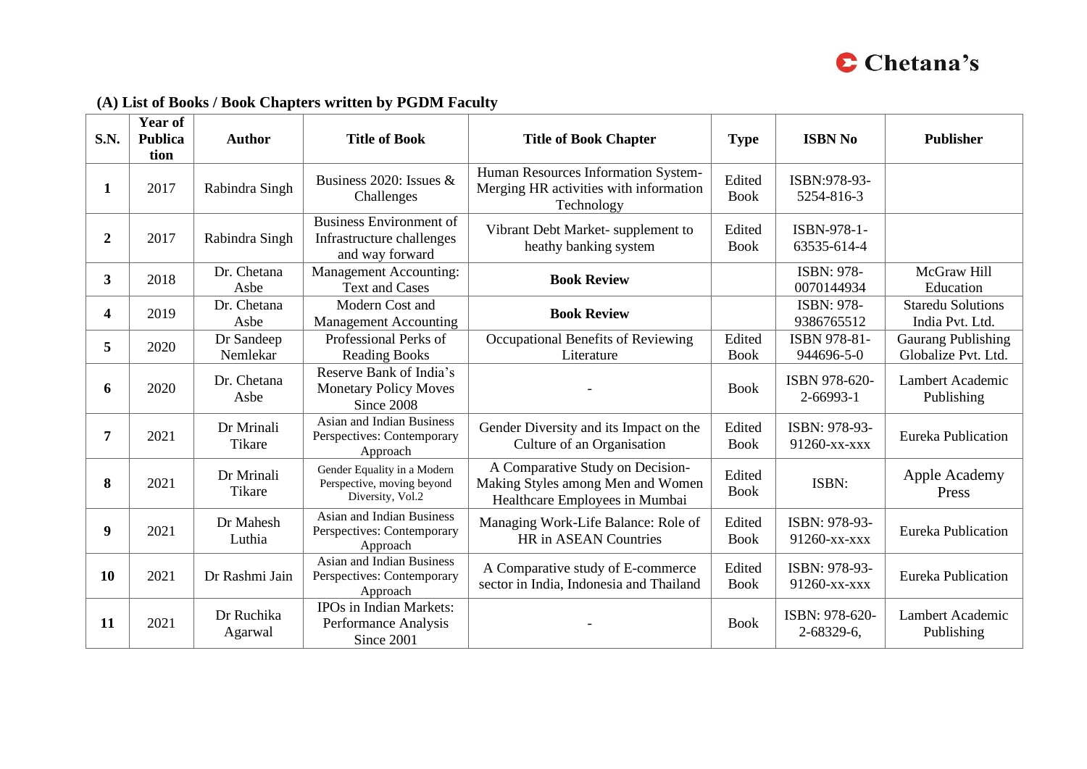

# **(A) List of Books / Book Chapters written by PGDM Faculty**

| S.N.           | <b>Year of</b><br><b>Publica</b><br>tion | <b>Author</b>               | <b>Title of Book</b>                                                           | <b>Title of Book Chapter</b>                                                                            | <b>Type</b>           | <b>ISBN No</b>                   | <b>Publisher</b>                            |
|----------------|------------------------------------------|-----------------------------|--------------------------------------------------------------------------------|---------------------------------------------------------------------------------------------------------|-----------------------|----------------------------------|---------------------------------------------|
| 1              | 2017                                     | Rabindra Singh              | Business 2020: Issues $&$<br>Challenges                                        | Human Resources Information System-<br>Merging HR activities with information<br>Technology             | Edited<br><b>Book</b> | ISBN:978-93-<br>5254-816-3       |                                             |
| $\overline{2}$ | 2017                                     | Rabindra Singh              | <b>Business Environment of</b><br>Infrastructure challenges<br>and way forward | Vibrant Debt Market-supplement to<br>heathy banking system                                              | Edited<br><b>Book</b> | ISBN-978-1-<br>63535-614-4       |                                             |
| $3^{\circ}$    | 2018                                     | Dr. Chetana<br>Asbe         | <b>Management Accounting:</b><br><b>Text and Cases</b>                         | <b>Book Review</b>                                                                                      |                       | ISBN: 978-<br>0070144934         | McGraw Hill<br>Education                    |
| 4              | 2019                                     | Dr. Chetana<br>Asbe         | Modern Cost and<br><b>Management Accounting</b>                                | <b>Book Review</b>                                                                                      |                       | ISBN: 978-<br>9386765512         | <b>Staredu Solutions</b><br>India Pvt. Ltd. |
| 5              | 2020                                     | Dr Sandeep<br>Nemlekar      | Professional Perks of<br><b>Reading Books</b>                                  | Occupational Benefits of Reviewing<br>Literature                                                        | Edited<br><b>Book</b> | ISBN 978-81-<br>944696-5-0       | Gaurang Publishing<br>Globalize Pvt. Ltd.   |
| 6              | 2020                                     | Dr. Chetana<br>Asbe         | Reserve Bank of India's<br><b>Monetary Policy Moves</b><br>Since 2008          |                                                                                                         | <b>Book</b>           | ISBN 978-620-<br>$2 - 66993 - 1$ | Lambert Academic<br>Publishing              |
| 7              | 2021                                     | Dr Mrinali<br>Tikare        | <b>Asian and Indian Business</b><br>Perspectives: Contemporary<br>Approach     | Gender Diversity and its Impact on the<br>Culture of an Organisation                                    | Edited<br><b>Book</b> | ISBN: 978-93-<br>91260-xx-xxx    | <b>Eureka Publication</b>                   |
| 8              | 2021                                     | Dr Mrinali<br><b>Tikare</b> | Gender Equality in a Modern<br>Perspective, moving beyond<br>Diversity, Vol.2  | A Comparative Study on Decision-<br>Making Styles among Men and Women<br>Healthcare Employees in Mumbai | Edited<br><b>Book</b> | ISBN:                            | Apple Academy<br>Press                      |
| 9              | 2021                                     | Dr Mahesh<br>Luthia         | <b>Asian and Indian Business</b><br>Perspectives: Contemporary<br>Approach     | Managing Work-Life Balance: Role of<br><b>HR</b> in ASEAN Countries                                     | Edited<br><b>Book</b> | ISBN: 978-93-<br>91260-xx-xxx    | Eureka Publication                          |
| 10             | 2021                                     | Dr Rashmi Jain              | <b>Asian and Indian Business</b><br>Perspectives: Contemporary<br>Approach     | A Comparative study of E-commerce<br>sector in India, Indonesia and Thailand                            | Edited<br><b>Book</b> | ISBN: 978-93-<br>91260-xx-xxx    | Eureka Publication                          |
| 11             | 2021                                     | Dr Ruchika<br>Agarwal       | IPOs in Indian Markets:<br>Performance Analysis<br>Since 2001                  |                                                                                                         | <b>Book</b>           | ISBN: 978-620-<br>2-68329-6,     | Lambert Academic<br>Publishing              |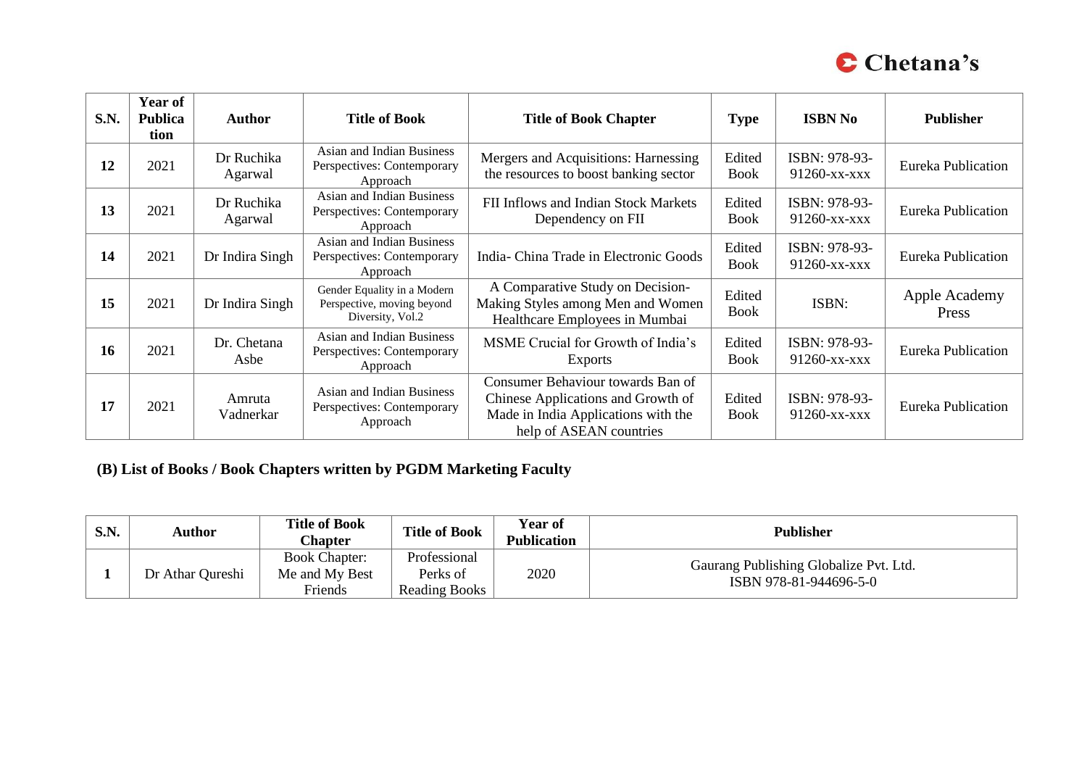

| <b>S.N.</b> | <b>Year of</b><br><b>Publica</b><br>tion | Author                | <b>Title of Book</b>                                                          | <b>Title of Book Chapter</b>                                                                                                              | <b>Type</b>           | <b>ISBN No</b>                | <b>Publisher</b>          |
|-------------|------------------------------------------|-----------------------|-------------------------------------------------------------------------------|-------------------------------------------------------------------------------------------------------------------------------------------|-----------------------|-------------------------------|---------------------------|
| 12          | 2021                                     | Dr Ruchika<br>Agarwal | Asian and Indian Business<br>Perspectives: Contemporary<br>Approach           | Mergers and Acquisitions: Harnessing<br>the resources to boost banking sector                                                             | Edited<br><b>Book</b> | ISBN: 978-93-<br>91260-xx-xxx | <b>Eureka Publication</b> |
| 13          | 2021                                     | Dr Ruchika<br>Agarwal | Asian and Indian Business<br>Perspectives: Contemporary<br>Approach           | FII Inflows and Indian Stock Markets<br>Dependency on FII                                                                                 | Edited<br><b>Book</b> | ISBN: 978-93-<br>91260-xx-xxx | <b>Eureka Publication</b> |
| 14          | 2021                                     | Dr Indira Singh       | Asian and Indian Business<br>Perspectives: Contemporary<br>Approach           | India-China Trade in Electronic Goods                                                                                                     | Edited<br><b>Book</b> | ISBN: 978-93-<br>91260-xx-xxx | <b>Eureka Publication</b> |
| 15          | 2021                                     | Dr Indira Singh       | Gender Equality in a Modern<br>Perspective, moving beyond<br>Diversity, Vol.2 | A Comparative Study on Decision-<br>Making Styles among Men and Women<br>Healthcare Employees in Mumbai                                   | Edited<br><b>Book</b> | ISBN:                         | Apple Academy<br>Press    |
| 16          | 2021                                     | Dr. Chetana<br>Asbe   | Asian and Indian Business<br>Perspectives: Contemporary<br>Approach           | MSME Crucial for Growth of India's<br><b>Exports</b>                                                                                      | Edited<br><b>Book</b> | ISBN: 978-93-<br>91260-xx-xxx | <b>Eureka Publication</b> |
| 17          | 2021                                     | Amruta<br>Vadnerkar   | Asian and Indian Business<br>Perspectives: Contemporary<br>Approach           | Consumer Behaviour towards Ban of<br>Chinese Applications and Growth of<br>Made in India Applications with the<br>help of ASEAN countries | Edited<br><b>Book</b> | ISBN: 978-93-<br>91260-xx-xxx | <b>Eureka Publication</b> |

# **(B) List of Books / Book Chapters written by PGDM Marketing Faculty**

| S.N. | Author           | <b>Title of Book</b><br>Chapter        | <b>Title of Book</b>     | <b>Year of</b><br><b>Publication</b> | <b>Publisher</b>                       |
|------|------------------|----------------------------------------|--------------------------|--------------------------------------|----------------------------------------|
|      | Dr Athar Qureshi | <b>Book Chapter:</b><br>Me and My Best | Professional<br>Perks of | 2020                                 | Gaurang Publishing Globalize Pvt. Ltd. |
|      |                  | Friends                                | Reading Books            |                                      | ISBN 978-81-944696-5-0                 |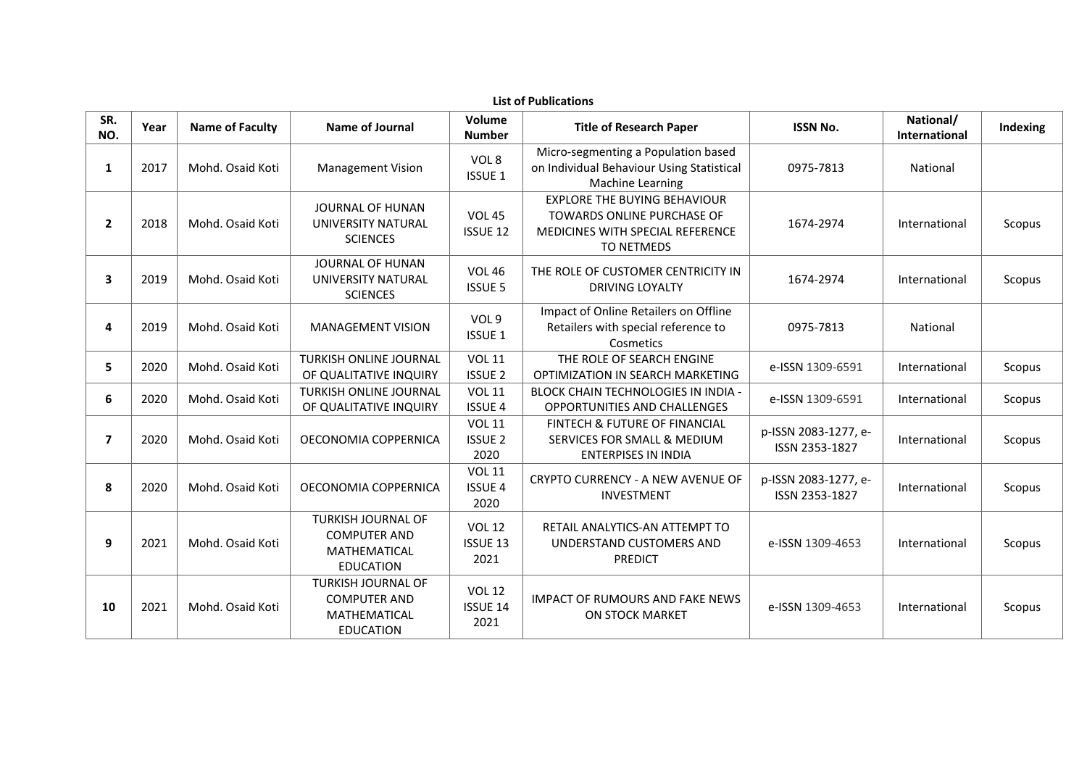|                | <b>List of Publications</b> |                        |                                                                                             |                                          |                                                                                                                            |                                        |                                   |          |  |  |  |  |  |
|----------------|-----------------------------|------------------------|---------------------------------------------------------------------------------------------|------------------------------------------|----------------------------------------------------------------------------------------------------------------------------|----------------------------------------|-----------------------------------|----------|--|--|--|--|--|
| SR.<br>NO.     | Year                        | <b>Name of Faculty</b> | Name of Journal                                                                             | Volume<br><b>Number</b>                  | <b>Title of Research Paper</b>                                                                                             | <b>ISSN No.</b>                        | National/<br><b>International</b> | Indexing |  |  |  |  |  |
| $\mathbf{1}$   | 2017                        | Mohd, Osaid Koti       | <b>Management Vision</b>                                                                    | VOL 8<br><b>ISSUE 1</b>                  | Micro-segmenting a Population based<br>on Individual Behaviour Using Statistical<br>Machine Learning                       | 0975-7813                              | National                          |          |  |  |  |  |  |
| $\mathbf{2}$   | 2018                        | Mohd. Osaid Koti       | JOURNAL OF HUNAN<br>UNIVERSITY NATURAL<br><b>SCIENCES</b>                                   | <b>VOL 45</b><br>ISSUE 12                | <b>EXPLORE THE BUYING BEHAVIOUR</b><br><b>TOWARDS ONLINE PURCHASE OF</b><br>MEDICINES WITH SPECIAL REFERENCE<br>TO NETMEDS | 1674-2974                              | International                     | Scopus   |  |  |  |  |  |
| 3              | 2019                        | Mohd. Osaid Koti       | JOURNAL OF HUNAN<br>UNIVERSITY NATURAL<br><b>SCIENCES</b>                                   | <b>VOL 46</b><br><b>ISSUE 5</b>          | THE ROLE OF CUSTOMER CENTRICITY IN<br>DRIVING LOYALTY                                                                      | 1674-2974                              | International                     | Scopus   |  |  |  |  |  |
| 4              | 2019                        | Mohd. Osaid Koti       | <b>MANAGEMENT VISION</b>                                                                    | VOL 9<br><b>ISSUE 1</b>                  | Impact of Online Retailers on Offline<br>Retailers with special reference to<br>Cosmetics                                  | 0975-7813                              | National                          |          |  |  |  |  |  |
| 5              | 2020                        | Mohd. Osaid Koti       | <b>TURKISH ONLINE JOURNAL</b><br>OF QUALITATIVE INQUIRY                                     | <b>VOL 11</b><br><b>ISSUE 2</b>          | THE ROLE OF SEARCH ENGINE<br>OPTIMIZATION IN SEARCH MARKETING                                                              | e-ISSN 1309-6591                       | International                     | Scopus   |  |  |  |  |  |
| 6              | 2020                        | Mohd. Osaid Koti       | TURKISH ONLINE JOURNAL<br>OF QUALITATIVE INQUIRY                                            | <b>VOL 11</b><br><b>ISSUE 4</b>          | <b>BLOCK CHAIN TECHNOLOGIES IN INDIA -</b><br>OPPORTUNITIES AND CHALLENGES                                                 | e-ISSN 1309-6591                       | International                     | Scopus   |  |  |  |  |  |
| $\overline{ }$ | 2020                        | Mohd, Osaid Koti       | OECONOMIA COPPERNICA                                                                        | <b>VOL 11</b><br><b>ISSUE 2</b><br>2020  | <b>FINTECH &amp; FUTURE OF FINANCIAL</b><br><b>SERVICES FOR SMALL &amp; MEDIUM</b><br><b>ENTERPISES IN INDIA</b>           | p-ISSN 2083-1277, e-<br>ISSN 2353-1827 | International                     | Scopus   |  |  |  |  |  |
| 8              | 2020                        | Mohd. Osaid Koti       | OECONOMIA COPPERNICA                                                                        | <b>VOL 11</b><br><b>ISSUE 4</b><br>2020  | CRYPTO CURRENCY - A NEW AVENUE OF<br><b>INVESTMENT</b>                                                                     | p-ISSN 2083-1277, e-<br>ISSN 2353-1827 | International                     | Scopus   |  |  |  |  |  |
| 9              | 2021                        | Mohd. Osaid Koti       | <b>TURKISH JOURNAL OF</b><br><b>COMPUTER AND</b><br><b>MATHEMATICAL</b><br><b>EDUCATION</b> | <b>VOL 12</b><br><b>ISSUE 13</b><br>2021 | RETAIL ANALYTICS-AN ATTEMPT TO<br>UNDERSTAND CUSTOMERS AND<br><b>PREDICT</b>                                               | e-ISSN 1309-4653                       | International                     | Scopus   |  |  |  |  |  |
| 10             | 2021                        | Mohd. Osaid Koti       | <b>TURKISH JOURNAL OF</b><br><b>COMPUTER AND</b><br><b>MATHEMATICAL</b><br><b>EDUCATION</b> | <b>VOL 12</b><br><b>ISSUE 14</b><br>2021 | <b>IMPACT OF RUMOURS AND FAKE NEWS</b><br><b>ON STOCK MARKET</b>                                                           | e-ISSN 1309-4653                       | International                     | Scopus   |  |  |  |  |  |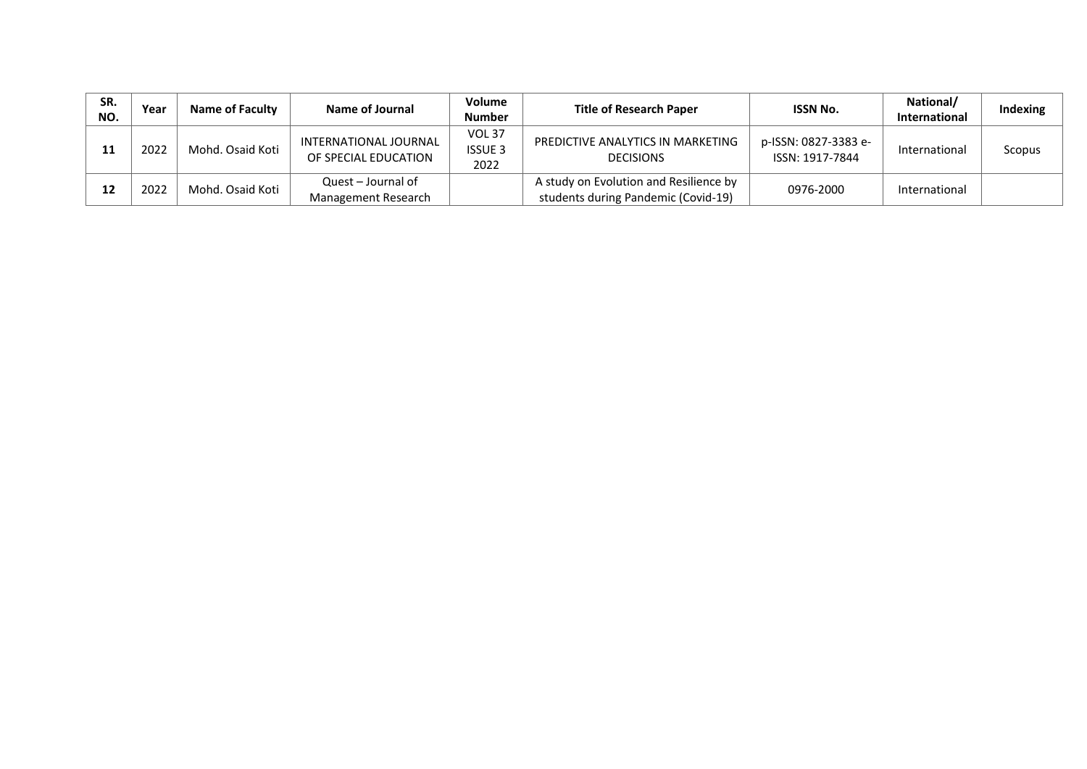| SR.<br>NO. | Year | <b>Name of Faculty</b> | Name of Journal                               | <b>Volume</b><br><b>Number</b>          | <b>Title of Research Paper</b>                                                | <b>ISSN No.</b>                         | National/<br><b>International</b> | Indexing |
|------------|------|------------------------|-----------------------------------------------|-----------------------------------------|-------------------------------------------------------------------------------|-----------------------------------------|-----------------------------------|----------|
| 11         | 2022 | Mohd. Osaid Koti       | INTERNATIONAL JOURNAL<br>OF SPECIAL EDUCATION | <b>VOL 37</b><br><b>ISSUE 3</b><br>2022 | PREDICTIVE ANALYTICS IN MARKETING<br><b>DECISIONS</b>                         | p-ISSN: 0827-3383 e-<br>ISSN: 1917-7844 | International                     | Scopus   |
| 12         | 2022 | Mohd. Osaid Koti       | Quest - Journal of<br>Management Research     |                                         | A study on Evolution and Resilience by<br>students during Pandemic (Covid-19) | 0976-2000                               | International                     |          |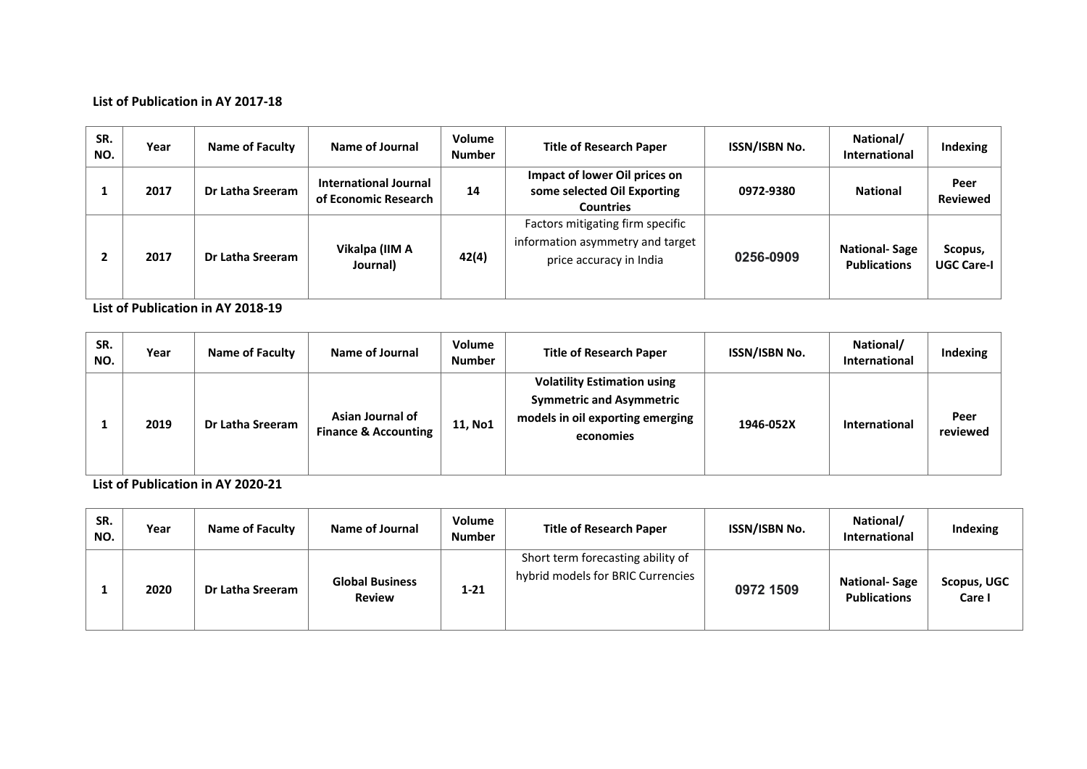#### **List of Publication in AY 2017‐18**

| SR.<br>NO. | Year | <b>Name of Faculty</b> | Name of Journal                                      | Volume<br><b>Number</b> | <b>Title of Research Paper</b>                                                                  | <b>ISSN/ISBN No.</b> | National/<br><b>International</b>           | Indexing                     |
|------------|------|------------------------|------------------------------------------------------|-------------------------|-------------------------------------------------------------------------------------------------|----------------------|---------------------------------------------|------------------------------|
|            | 2017 | Dr Latha Sreeram       | <b>International Journal</b><br>of Economic Research | 14                      | Impact of lower Oil prices on<br>some selected Oil Exporting<br><b>Countries</b>                | 0972-9380            | <b>National</b>                             | Peer<br><b>Reviewed</b>      |
|            | 2017 | Dr Latha Sreeram       | Vikalpa (IIM A<br>Journal)                           | 42(4)                   | Factors mitigating firm specific<br>information asymmetry and target<br>price accuracy in India | 0256-0909            | <b>National-Sage</b><br><b>Publications</b> | Scopus,<br><b>UGC Care-I</b> |

**List of Publication in AY 2018‐19** 

| SR.<br>NO. | Year | Name of Faculty  | Name of Journal                                     | Volume<br><b>Number</b> | <b>Title of Research Paper</b>                                                                                         | ISSN/ISBN No. | National/<br><b>International</b> | <b>Indexing</b>  |
|------------|------|------------------|-----------------------------------------------------|-------------------------|------------------------------------------------------------------------------------------------------------------------|---------------|-----------------------------------|------------------|
|            | 2019 | Dr Latha Sreeram | Asian Journal of<br><b>Finance &amp; Accounting</b> | 11, No1                 | <b>Volatility Estimation using</b><br><b>Symmetric and Asymmetric</b><br>models in oil exporting emerging<br>economies | 1946-052X     | <b>International</b>              | Peer<br>reviewed |

**List of Publication in AY 2020‐21** 

| SR.<br>NO. | Year | <b>Name of Faculty</b> | Name of Journal                         | Volume<br><b>Number</b> | <b>Title of Research Paper</b>                                         | <b>ISSN/ISBN No.</b> | National/<br><b>International</b>           | Indexing              |
|------------|------|------------------------|-----------------------------------------|-------------------------|------------------------------------------------------------------------|----------------------|---------------------------------------------|-----------------------|
|            | 2020 | Dr Latha Sreeram       | <b>Global Business</b><br><b>Review</b> | $1 - 21$                | Short term forecasting ability of<br>hybrid models for BRIC Currencies | 0972 1509            | <b>National-Sage</b><br><b>Publications</b> | Scopus, UGC<br>Care I |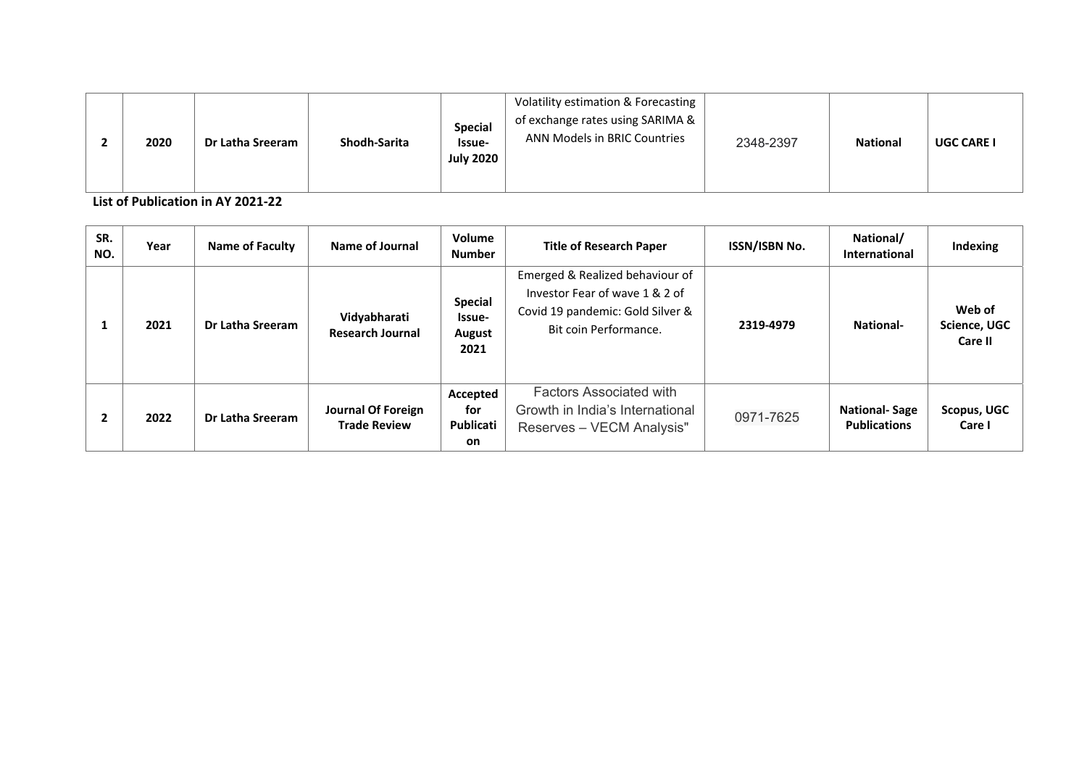|  | 2020 | Dr Latha Sreeram | Shodh-Sarita | <b>Special</b><br>Issue-<br><b>July 2020</b> | Volatility estimation & Forecasting<br>of exchange rates using SARIMA &<br>ANN Models in BRIC Countries | 2348-2397 | <b>National</b> | <b>UGC CARE I</b> |
|--|------|------------------|--------------|----------------------------------------------|---------------------------------------------------------------------------------------------------------|-----------|-----------------|-------------------|
|--|------|------------------|--------------|----------------------------------------------|---------------------------------------------------------------------------------------------------------|-----------|-----------------|-------------------|

**List of Publication in AY 2021‐22** 

| SR.<br>NO. | Year | Name of Faculty  | Name of Journal                           | Volume<br><b>Number</b>                    | <b>Title of Research Paper</b>                                                                                                 | ISSN/ISBN No. | National/<br><b>International</b>           | Indexing                          |
|------------|------|------------------|-------------------------------------------|--------------------------------------------|--------------------------------------------------------------------------------------------------------------------------------|---------------|---------------------------------------------|-----------------------------------|
|            | 2021 | Dr Latha Sreeram | Vidyabharati<br><b>Research Journal</b>   | <b>Special</b><br>Issue-<br>August<br>2021 | Emerged & Realized behaviour of<br>Investor Fear of wave 1 & 2 of<br>Covid 19 pandemic: Gold Silver &<br>Bit coin Performance. | 2319-4979     | <b>National-</b>                            | Web of<br>Science, UGC<br>Care II |
|            | 2022 | Dr Latha Sreeram | Journal Of Foreign<br><b>Trade Review</b> | Accepted<br>for<br>Publicati<br>on.        | <b>Factors Associated with</b><br>Growth in India's International<br>Reserves - VECM Analysis"                                 | 0971-7625     | <b>National-Sage</b><br><b>Publications</b> | <b>Scopus, UGC</b><br>Care I      |